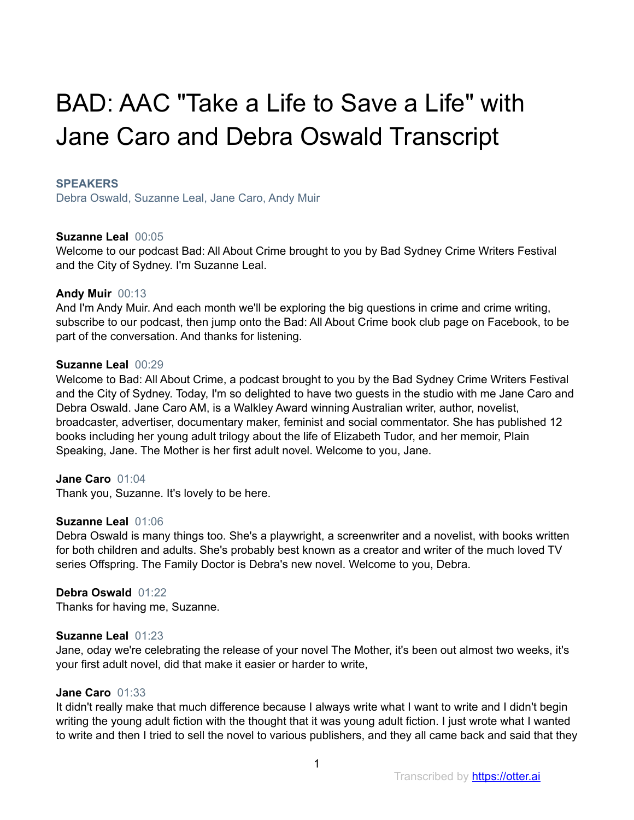# BAD: AAC "Take a Life to Save a Life" with Jane Caro and Debra Oswald Transcript

## **SPEAKERS**

Debra Oswald, Suzanne Leal, Jane Caro, Andy Muir

## **Suzanne Leal** 00:05

Welcome to our podcast Bad: All About Crime brought to you by Bad Sydney Crime Writers Festival and the City of Sydney. I'm Suzanne Leal.

## **Andy Muir** 00:13

And I'm Andy Muir. And each month we'll be exploring the big questions in crime and crime writing, subscribe to our podcast, then jump onto the Bad: All About Crime book club page on Facebook, to be part of the conversation. And thanks for listening.

## **Suzanne Leal** 00:29

Welcome to Bad: All About Crime, a podcast brought to you by the Bad Sydney Crime Writers Festival and the City of Sydney. Today, I'm so delighted to have two guests in the studio with me Jane Caro and Debra Oswald. Jane Caro AM, is a Walkley Award winning Australian writer, author, novelist, broadcaster, advertiser, documentary maker, feminist and social commentator. She has published 12 books including her young adult trilogy about the life of Elizabeth Tudor, and her memoir, Plain Speaking, Jane. The Mother is her first adult novel. Welcome to you, Jane.

# **Jane Caro** 01:04

Thank you, Suzanne. It's lovely to be here.

## **Suzanne Leal** 01:06

Debra Oswald is many things too. She's a playwright, a screenwriter and a novelist, with books written for both children and adults. She's probably best known as a creator and writer of the much loved TV series Offspring. The Family Doctor is Debra's new novel. Welcome to you, Debra.

# **Debra Oswald** 01:22

Thanks for having me, Suzanne.

## **Suzanne Leal** 01:23

Jane, oday we're celebrating the release of your novel The Mother, it's been out almost two weeks, it's your first adult novel, did that make it easier or harder to write,

## **Jane Caro** 01:33

It didn't really make that much difference because I always write what I want to write and I didn't begin writing the young adult fiction with the thought that it was young adult fiction. I just wrote what I wanted to write and then I tried to sell the novel to various publishers, and they all came back and said that they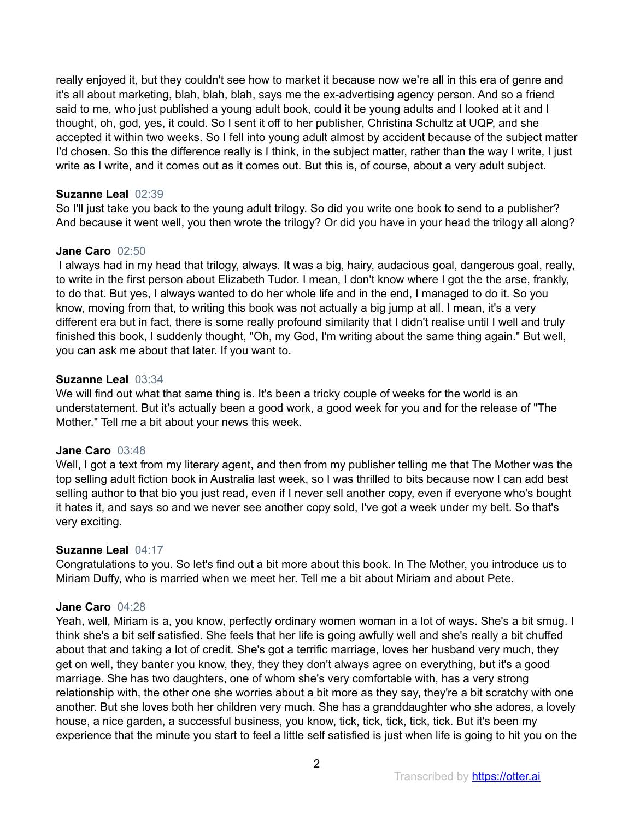really enjoyed it, but they couldn't see how to market it because now we're all in this era of genre and it's all about marketing, blah, blah, blah, says me the ex-advertising agency person. And so a friend said to me, who just published a young adult book, could it be young adults and I looked at it and I thought, oh, god, yes, it could. So I sent it off to her publisher, Christina Schultz at UQP, and she accepted it within two weeks. So I fell into young adult almost by accident because of the subject matter I'd chosen. So this the difference really is I think, in the subject matter, rather than the way I write, I just write as I write, and it comes out as it comes out. But this is, of course, about a very adult subject.

## **Suzanne Leal** 02:39

So I'll just take you back to the young adult trilogy. So did you write one book to send to a publisher? And because it went well, you then wrote the trilogy? Or did you have in your head the trilogy all along?

## **Jane Caro** 02:50

 I always had in my head that trilogy, always. It was a big, hairy, audacious goal, dangerous goal, really, to write in the first person about Elizabeth Tudor. I mean, I don't know where I got the the arse, frankly, to do that. But yes, I always wanted to do her whole life and in the end, I managed to do it. So you know, moving from that, to writing this book was not actually a big jump at all. I mean, it's a very different era but in fact, there is some really profound similarity that I didn't realise until I well and truly finished this book, I suddenly thought, "Oh, my God, I'm writing about the same thing again." But well, you can ask me about that later. If you want to.

## **Suzanne Leal** 03:34

We will find out what that same thing is. It's been a tricky couple of weeks for the world is an understatement. But it's actually been a good work, a good week for you and for the release of "The Mother." Tell me a bit about your news this week.

## **Jane Caro** 03:48

Well, I got a text from my literary agent, and then from my publisher telling me that The Mother was the top selling adult fiction book in Australia last week, so I was thrilled to bits because now I can add best selling author to that bio you just read, even if I never sell another copy, even if everyone who's bought it hates it, and says so and we never see another copy sold, I've got a week under my belt. So that's very exciting.

## **Suzanne Leal** 04:17

Congratulations to you. So let's find out a bit more about this book. In The Mother, you introduce us to Miriam Duffy, who is married when we meet her. Tell me a bit about Miriam and about Pete.

# **Jane Caro** 04:28

Yeah, well, Miriam is a, you know, perfectly ordinary women woman in a lot of ways. She's a bit smug. I think she's a bit self satisfied. She feels that her life is going awfully well and she's really a bit chuffed about that and taking a lot of credit. She's got a terrific marriage, loves her husband very much, they get on well, they banter you know, they, they they don't always agree on everything, but it's a good marriage. She has two daughters, one of whom she's very comfortable with, has a very strong relationship with, the other one she worries about a bit more as they say, they're a bit scratchy with one another. But she loves both her children very much. She has a granddaughter who she adores, a lovely house, a nice garden, a successful business, you know, tick, tick, tick, tick, tick. But it's been my experience that the minute you start to feel a little self satisfied is just when life is going to hit you on the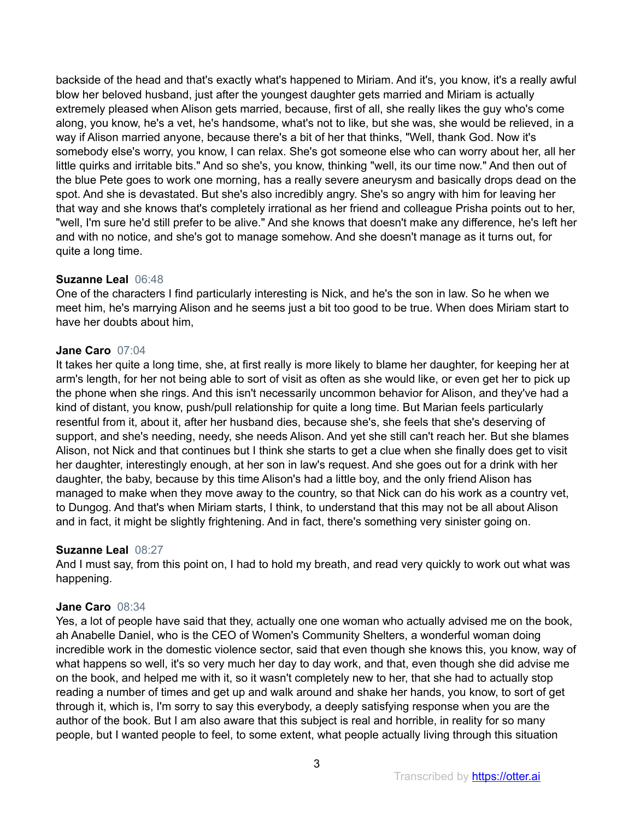backside of the head and that's exactly what's happened to Miriam. And it's, you know, it's a really awful blow her beloved husband, just after the youngest daughter gets married and Miriam is actually extremely pleased when Alison gets married, because, first of all, she really likes the guy who's come along, you know, he's a vet, he's handsome, what's not to like, but she was, she would be relieved, in a way if Alison married anyone, because there's a bit of her that thinks, "Well, thank God. Now it's somebody else's worry, you know, I can relax. She's got someone else who can worry about her, all her little quirks and irritable bits." And so she's, you know, thinking "well, its our time now." And then out of the blue Pete goes to work one morning, has a really severe aneurysm and basically drops dead on the spot. And she is devastated. But she's also incredibly angry. She's so angry with him for leaving her that way and she knows that's completely irrational as her friend and colleague Prisha points out to her, "well, I'm sure he'd still prefer to be alive." And she knows that doesn't make any difference, he's left her and with no notice, and she's got to manage somehow. And she doesn't manage as it turns out, for quite a long time.

# **Suzanne Leal** 06:48

One of the characters I find particularly interesting is Nick, and he's the son in law. So he when we meet him, he's marrying Alison and he seems just a bit too good to be true. When does Miriam start to have her doubts about him,

## **Jane Caro** 07:04

It takes her quite a long time, she, at first really is more likely to blame her daughter, for keeping her at arm's length, for her not being able to sort of visit as often as she would like, or even get her to pick up the phone when she rings. And this isn't necessarily uncommon behavior for Alison, and they've had a kind of distant, you know, push/pull relationship for quite a long time. But Marian feels particularly resentful from it, about it, after her husband dies, because she's, she feels that she's deserving of support, and she's needing, needy, she needs Alison. And yet she still can't reach her. But she blames Alison, not Nick and that continues but I think she starts to get a clue when she finally does get to visit her daughter, interestingly enough, at her son in law's request. And she goes out for a drink with her daughter, the baby, because by this time Alison's had a little boy, and the only friend Alison has managed to make when they move away to the country, so that Nick can do his work as a country vet, to Dungog. And that's when Miriam starts, I think, to understand that this may not be all about Alison and in fact, it might be slightly frightening. And in fact, there's something very sinister going on.

# **Suzanne Leal** 08:27

And I must say, from this point on, I had to hold my breath, and read very quickly to work out what was happening.

# **Jane Caro** 08:34

Yes, a lot of people have said that they, actually one one woman who actually advised me on the book, ah Anabelle Daniel, who is the CEO of Women's Community Shelters, a wonderful woman doing incredible work in the domestic violence sector, said that even though she knows this, you know, way of what happens so well, it's so very much her day to day work, and that, even though she did advise me on the book, and helped me with it, so it wasn't completely new to her, that she had to actually stop reading a number of times and get up and walk around and shake her hands, you know, to sort of get through it, which is, I'm sorry to say this everybody, a deeply satisfying response when you are the author of the book. But I am also aware that this subject is real and horrible, in reality for so many people, but I wanted people to feel, to some extent, what people actually living through this situation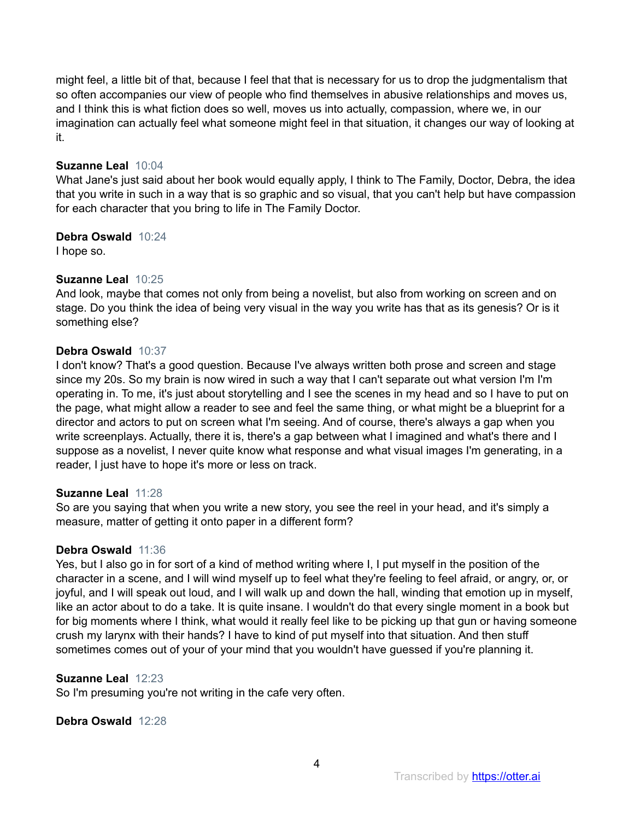might feel, a little bit of that, because I feel that that is necessary for us to drop the judgmentalism that so often accompanies our view of people who find themselves in abusive relationships and moves us, and I think this is what fiction does so well, moves us into actually, compassion, where we, in our imagination can actually feel what someone might feel in that situation, it changes our way of looking at it.

## **Suzanne Leal** 10:04

What Jane's just said about her book would equally apply, I think to The Family, Doctor, Debra, the idea that you write in such in a way that is so graphic and so visual, that you can't help but have compassion for each character that you bring to life in The Family Doctor.

## **Debra Oswald** 10:24

I hope so.

## **Suzanne Leal** 10:25

And look, maybe that comes not only from being a novelist, but also from working on screen and on stage. Do you think the idea of being very visual in the way you write has that as its genesis? Or is it something else?

## **Debra Oswald** 10:37

I don't know? That's a good question. Because I've always written both prose and screen and stage since my 20s. So my brain is now wired in such a way that I can't separate out what version I'm I'm operating in. To me, it's just about storytelling and I see the scenes in my head and so I have to put on the page, what might allow a reader to see and feel the same thing, or what might be a blueprint for a director and actors to put on screen what I'm seeing. And of course, there's always a gap when you write screenplays. Actually, there it is, there's a gap between what I imagined and what's there and I suppose as a novelist, I never quite know what response and what visual images I'm generating, in a reader, I just have to hope it's more or less on track.

# **Suzanne Leal** 11:28

So are you saying that when you write a new story, you see the reel in your head, and it's simply a measure, matter of getting it onto paper in a different form?

## **Debra Oswald** 11:36

Yes, but I also go in for sort of a kind of method writing where I, I put myself in the position of the character in a scene, and I will wind myself up to feel what they're feeling to feel afraid, or angry, or, or joyful, and I will speak out loud, and I will walk up and down the hall, winding that emotion up in myself, like an actor about to do a take. It is quite insane. I wouldn't do that every single moment in a book but for big moments where I think, what would it really feel like to be picking up that gun or having someone crush my larynx with their hands? I have to kind of put myself into that situation. And then stuff sometimes comes out of your of your mind that you wouldn't have guessed if you're planning it.

## **Suzanne Leal** 12:23

So I'm presuming you're not writing in the cafe very often.

## **Debra Oswald** 12:28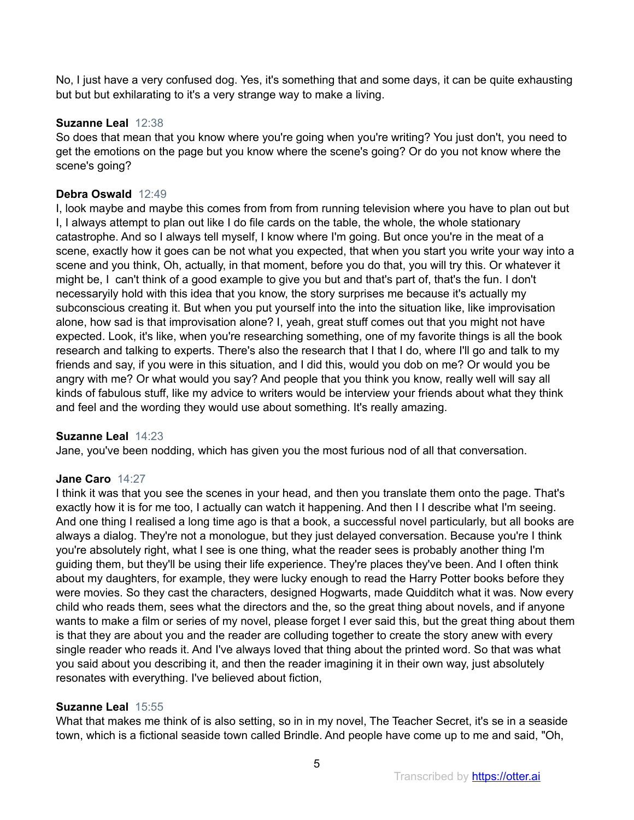No, I just have a very confused dog. Yes, it's something that and some days, it can be quite exhausting but but but exhilarating to it's a very strange way to make a living.

# **Suzanne Leal** 12:38

So does that mean that you know where you're going when you're writing? You just don't, you need to get the emotions on the page but you know where the scene's going? Or do you not know where the scene's going?

# **Debra Oswald** 12:49

I, look maybe and maybe this comes from from from running television where you have to plan out but I, I always attempt to plan out like I do file cards on the table, the whole, the whole stationary catastrophe. And so I always tell myself, I know where I'm going. But once you're in the meat of a scene, exactly how it goes can be not what you expected, that when you start you write your way into a scene and you think, Oh, actually, in that moment, before you do that, you will try this. Or whatever it might be, I can't think of a good example to give you but and that's part of, that's the fun. I don't necessaryily hold with this idea that you know, the story surprises me because it's actually my subconscious creating it. But when you put yourself into the into the situation like, like improvisation alone, how sad is that improvisation alone? I, yeah, great stuff comes out that you might not have expected. Look, it's like, when you're researching something, one of my favorite things is all the book research and talking to experts. There's also the research that I that I do, where I'll go and talk to my friends and say, if you were in this situation, and I did this, would you dob on me? Or would you be angry with me? Or what would you say? And people that you think you know, really well will say all kinds of fabulous stuff, like my advice to writers would be interview your friends about what they think and feel and the wording they would use about something. It's really amazing.

# **Suzanne Leal** 14:23

Jane, you've been nodding, which has given you the most furious nod of all that conversation.

# **Jane Caro** 14:27

I think it was that you see the scenes in your head, and then you translate them onto the page. That's exactly how it is for me too, I actually can watch it happening. And then I I describe what I'm seeing. And one thing I realised a long time ago is that a book, a successful novel particularly, but all books are always a dialog. They're not a monologue, but they just delayed conversation. Because you're I think you're absolutely right, what I see is one thing, what the reader sees is probably another thing I'm guiding them, but they'll be using their life experience. They're places they've been. And I often think about my daughters, for example, they were lucky enough to read the Harry Potter books before they were movies. So they cast the characters, designed Hogwarts, made Quidditch what it was. Now every child who reads them, sees what the directors and the, so the great thing about novels, and if anyone wants to make a film or series of my novel, please forget I ever said this, but the great thing about them is that they are about you and the reader are colluding together to create the story anew with every single reader who reads it. And I've always loved that thing about the printed word. So that was what you said about you describing it, and then the reader imagining it in their own way, just absolutely resonates with everything. I've believed about fiction,

# **Suzanne Leal** 15:55

What that makes me think of is also setting, so in in my novel, The Teacher Secret, it's se in a seaside town, which is a fictional seaside town called Brindle. And people have come up to me and said, "Oh,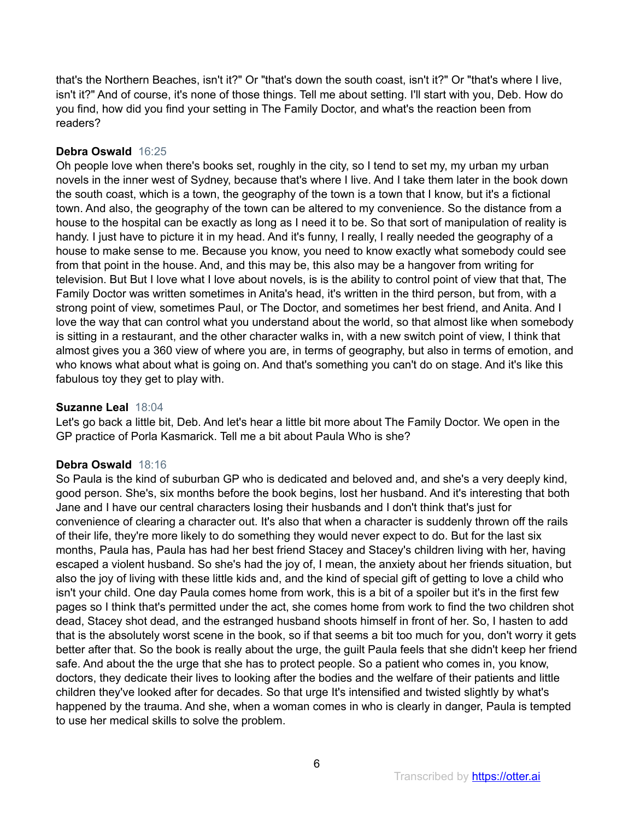that's the Northern Beaches, isn't it?" Or "that's down the south coast, isn't it?" Or "that's where I live, isn't it?" And of course, it's none of those things. Tell me about setting. I'll start with you, Deb. How do you find, how did you find your setting in The Family Doctor, and what's the reaction been from readers?

# **Debra Oswald** 16:25

Oh people love when there's books set, roughly in the city, so I tend to set my, my urban my urban novels in the inner west of Sydney, because that's where I live. And I take them later in the book down the south coast, which is a town, the geography of the town is a town that I know, but it's a fictional town. And also, the geography of the town can be altered to my convenience. So the distance from a house to the hospital can be exactly as long as I need it to be. So that sort of manipulation of reality is handy. I just have to picture it in my head. And it's funny, I really, I really needed the geography of a house to make sense to me. Because you know, you need to know exactly what somebody could see from that point in the house. And, and this may be, this also may be a hangover from writing for television. But But I love what I love about novels, is is the ability to control point of view that that, The Family Doctor was written sometimes in Anita's head, it's written in the third person, but from, with a strong point of view, sometimes Paul, or The Doctor, and sometimes her best friend, and Anita. And I love the way that can control what you understand about the world, so that almost like when somebody is sitting in a restaurant, and the other character walks in, with a new switch point of view, I think that almost gives you a 360 view of where you are, in terms of geography, but also in terms of emotion, and who knows what about what is going on. And that's something you can't do on stage. And it's like this fabulous toy they get to play with.

# **Suzanne Leal** 18:04

Let's go back a little bit, Deb. And let's hear a little bit more about The Family Doctor. We open in the GP practice of Porla Kasmarick. Tell me a bit about Paula Who is she?

# **Debra Oswald** 18:16

So Paula is the kind of suburban GP who is dedicated and beloved and, and she's a very deeply kind, good person. She's, six months before the book begins, lost her husband. And it's interesting that both Jane and I have our central characters losing their husbands and I don't think that's just for convenience of clearing a character out. It's also that when a character is suddenly thrown off the rails of their life, they're more likely to do something they would never expect to do. But for the last six months, Paula has, Paula has had her best friend Stacey and Stacey's children living with her, having escaped a violent husband. So she's had the joy of, I mean, the anxiety about her friends situation, but also the joy of living with these little kids and, and the kind of special gift of getting to love a child who isn't your child. One day Paula comes home from work, this is a bit of a spoiler but it's in the first few pages so I think that's permitted under the act, she comes home from work to find the two children shot dead, Stacey shot dead, and the estranged husband shoots himself in front of her. So, I hasten to add that is the absolutely worst scene in the book, so if that seems a bit too much for you, don't worry it gets better after that. So the book is really about the urge, the guilt Paula feels that she didn't keep her friend safe. And about the the urge that she has to protect people. So a patient who comes in, you know, doctors, they dedicate their lives to looking after the bodies and the welfare of their patients and little children they've looked after for decades. So that urge It's intensified and twisted slightly by what's happened by the trauma. And she, when a woman comes in who is clearly in danger, Paula is tempted to use her medical skills to solve the problem.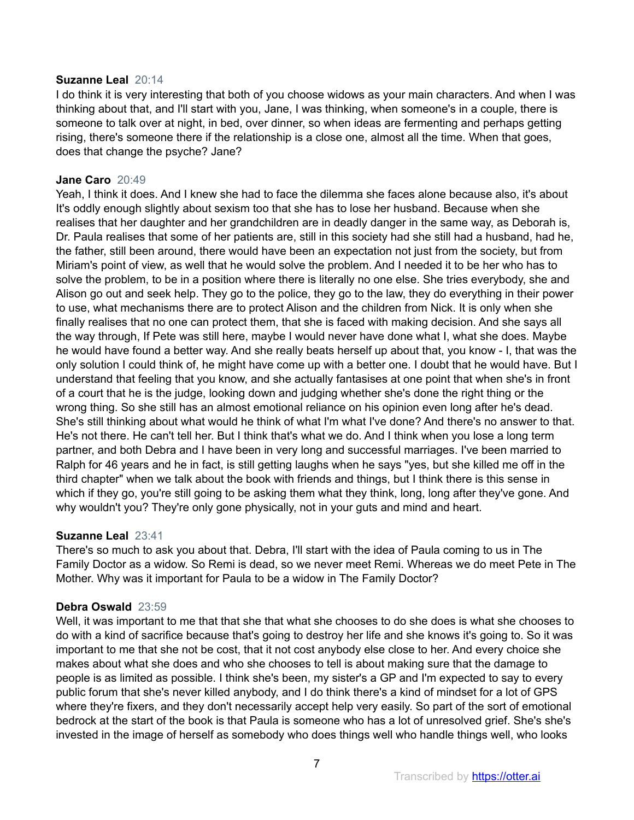## **Suzanne Leal** 20:14

I do think it is very interesting that both of you choose widows as your main characters. And when I was thinking about that, and I'll start with you, Jane, I was thinking, when someone's in a couple, there is someone to talk over at night, in bed, over dinner, so when ideas are fermenting and perhaps getting rising, there's someone there if the relationship is a close one, almost all the time. When that goes, does that change the psyche? Jane?

## **Jane Caro** 20:49

Yeah, I think it does. And I knew she had to face the dilemma she faces alone because also, it's about It's oddly enough slightly about sexism too that she has to lose her husband. Because when she realises that her daughter and her grandchildren are in deadly danger in the same way, as Deborah is, Dr. Paula realises that some of her patients are, still in this society had she still had a husband, had he, the father, still been around, there would have been an expectation not just from the society, but from Miriam's point of view, as well that he would solve the problem. And I needed it to be her who has to solve the problem, to be in a position where there is literally no one else. She tries everybody, she and Alison go out and seek help. They go to the police, they go to the law, they do everything in their power to use, what mechanisms there are to protect Alison and the children from Nick. It is only when she finally realises that no one can protect them, that she is faced with making decision. And she says all the way through, If Pete was still here, maybe I would never have done what I, what she does. Maybe he would have found a better way. And she really beats herself up about that, you know - I, that was the only solution I could think of, he might have come up with a better one. I doubt that he would have. But I understand that feeling that you know, and she actually fantasises at one point that when she's in front of a court that he is the judge, looking down and judging whether she's done the right thing or the wrong thing. So she still has an almost emotional reliance on his opinion even long after he's dead. She's still thinking about what would he think of what I'm what I've done? And there's no answer to that. He's not there. He can't tell her. But I think that's what we do. And I think when you lose a long term partner, and both Debra and I have been in very long and successful marriages. I've been married to Ralph for 46 years and he in fact, is still getting laughs when he says "yes, but she killed me off in the third chapter" when we talk about the book with friends and things, but I think there is this sense in which if they go, you're still going to be asking them what they think, long, long after they've gone. And why wouldn't you? They're only gone physically, not in your guts and mind and heart.

# **Suzanne Leal** 23:41

There's so much to ask you about that. Debra, I'll start with the idea of Paula coming to us in The Family Doctor as a widow. So Remi is dead, so we never meet Remi. Whereas we do meet Pete in The Mother. Why was it important for Paula to be a widow in The Family Doctor?

# **Debra Oswald** 23:59

Well, it was important to me that that she that what she chooses to do she does is what she chooses to do with a kind of sacrifice because that's going to destroy her life and she knows it's going to. So it was important to me that she not be cost, that it not cost anybody else close to her. And every choice she makes about what she does and who she chooses to tell is about making sure that the damage to people is as limited as possible. I think she's been, my sister's a GP and I'm expected to say to every public forum that she's never killed anybody, and I do think there's a kind of mindset for a lot of GPS where they're fixers, and they don't necessarily accept help very easily. So part of the sort of emotional bedrock at the start of the book is that Paula is someone who has a lot of unresolved grief. She's she's invested in the image of herself as somebody who does things well who handle things well, who looks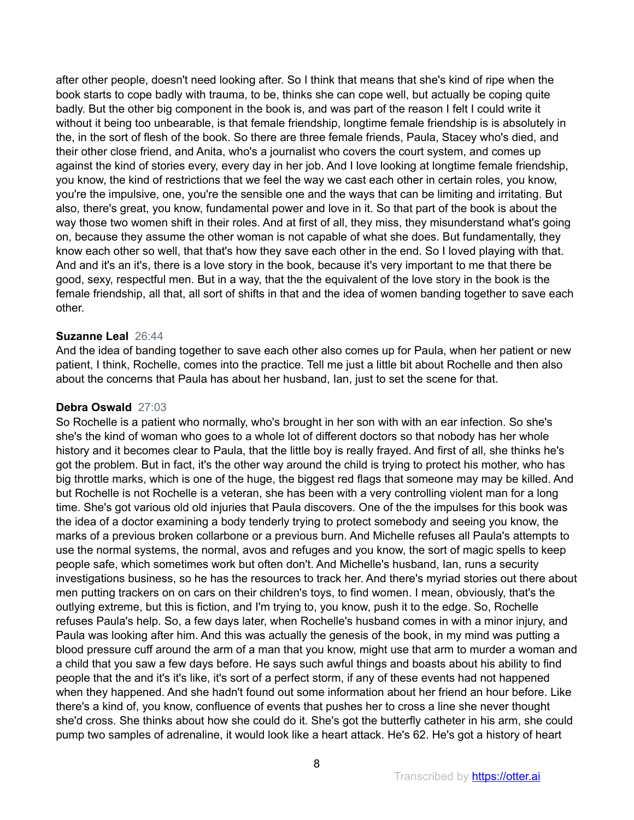after other people, doesn't need looking after. So I think that means that she's kind of ripe when the book starts to cope badly with trauma, to be, thinks she can cope well, but actually be coping quite badly. But the other big component in the book is, and was part of the reason I felt I could write it without it being too unbearable, is that female friendship, longtime female friendship is is absolutely in the, in the sort of flesh of the book. So there are three female friends, Paula, Stacey who's died, and their other close friend, and Anita, who's a journalist who covers the court system, and comes up against the kind of stories every, every day in her job. And I love looking at longtime female friendship, you know, the kind of restrictions that we feel the way we cast each other in certain roles, you know, you're the impulsive, one, you're the sensible one and the ways that can be limiting and irritating. But also, there's great, you know, fundamental power and love in it. So that part of the book is about the way those two women shift in their roles. And at first of all, they miss, they misunderstand what's going on, because they assume the other woman is not capable of what she does. But fundamentally, they know each other so well, that that's how they save each other in the end. So I loved playing with that. And and it's an it's, there is a love story in the book, because it's very important to me that there be good, sexy, respectful men. But in a way, that the the equivalent of the love story in the book is the female friendship, all that, all sort of shifts in that and the idea of women banding together to save each other.

## **Suzanne Leal** 26:44

And the idea of banding together to save each other also comes up for Paula, when her patient or new patient, I think, Rochelle, comes into the practice. Tell me just a little bit about Rochelle and then also about the concerns that Paula has about her husband, Ian, just to set the scene for that.

#### **Debra Oswald** 27:03

So Rochelle is a patient who normally, who's brought in her son with with an ear infection. So she's she's the kind of woman who goes to a whole lot of different doctors so that nobody has her whole history and it becomes clear to Paula, that the little boy is really frayed. And first of all, she thinks he's got the problem. But in fact, it's the other way around the child is trying to protect his mother, who has big throttle marks, which is one of the huge, the biggest red flags that someone may may be killed. And but Rochelle is not Rochelle is a veteran, she has been with a very controlling violent man for a long time. She's got various old old injuries that Paula discovers. One of the the impulses for this book was the idea of a doctor examining a body tenderly trying to protect somebody and seeing you know, the marks of a previous broken collarbone or a previous burn. And Michelle refuses all Paula's attempts to use the normal systems, the normal, avos and refuges and you know, the sort of magic spells to keep people safe, which sometimes work but often don't. And Michelle's husband, Ian, runs a security investigations business, so he has the resources to track her. And there's myriad stories out there about men putting trackers on on cars on their children's toys, to find women. I mean, obviously, that's the outlying extreme, but this is fiction, and I'm trying to, you know, push it to the edge. So, Rochelle refuses Paula's help. So, a few days later, when Rochelle's husband comes in with a minor injury, and Paula was looking after him. And this was actually the genesis of the book, in my mind was putting a blood pressure cuff around the arm of a man that you know, might use that arm to murder a woman and a child that you saw a few days before. He says such awful things and boasts about his ability to find people that the and it's it's like, it's sort of a perfect storm, if any of these events had not happened when they happened. And she hadn't found out some information about her friend an hour before. Like there's a kind of, you know, confluence of events that pushes her to cross a line she never thought she'd cross. She thinks about how she could do it. She's got the butterfly catheter in his arm, she could pump two samples of adrenaline, it would look like a heart attack. He's 62. He's got a history of heart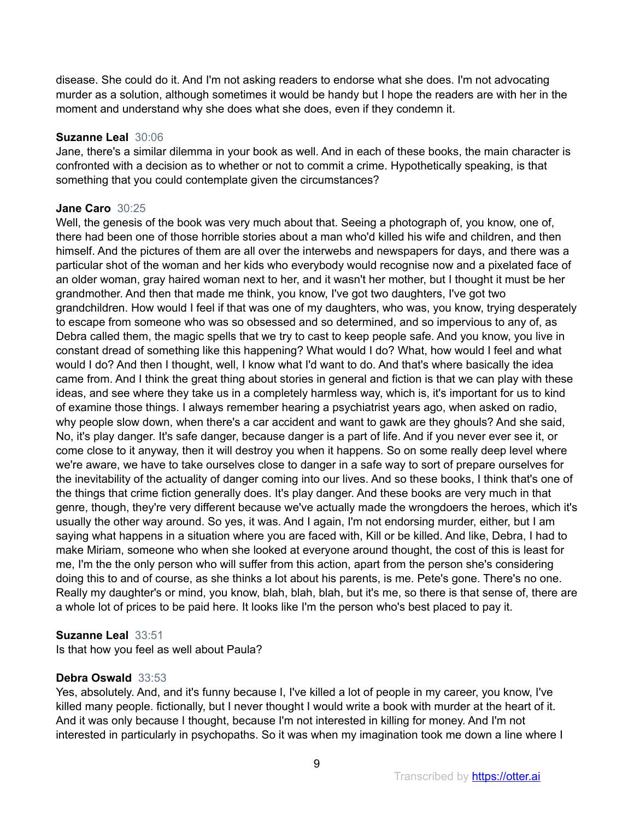disease. She could do it. And I'm not asking readers to endorse what she does. I'm not advocating murder as a solution, although sometimes it would be handy but I hope the readers are with her in the moment and understand why she does what she does, even if they condemn it.

## **Suzanne Leal** 30:06

Jane, there's a similar dilemma in your book as well. And in each of these books, the main character is confronted with a decision as to whether or not to commit a crime. Hypothetically speaking, is that something that you could contemplate given the circumstances?

## **Jane Caro** 30:25

Well, the genesis of the book was very much about that. Seeing a photograph of, you know, one of, there had been one of those horrible stories about a man who'd killed his wife and children, and then himself. And the pictures of them are all over the interwebs and newspapers for days, and there was a particular shot of the woman and her kids who everybody would recognise now and a pixelated face of an older woman, gray haired woman next to her, and it wasn't her mother, but I thought it must be her grandmother. And then that made me think, you know, I've got two daughters, I've got two grandchildren. How would I feel if that was one of my daughters, who was, you know, trying desperately to escape from someone who was so obsessed and so determined, and so impervious to any of, as Debra called them, the magic spells that we try to cast to keep people safe. And you know, you live in constant dread of something like this happening? What would I do? What, how would I feel and what would I do? And then I thought, well, I know what I'd want to do. And that's where basically the idea came from. And I think the great thing about stories in general and fiction is that we can play with these ideas, and see where they take us in a completely harmless way, which is, it's important for us to kind of examine those things. I always remember hearing a psychiatrist years ago, when asked on radio, why people slow down, when there's a car accident and want to gawk are they ghouls? And she said, No, it's play danger. It's safe danger, because danger is a part of life. And if you never ever see it, or come close to it anyway, then it will destroy you when it happens. So on some really deep level where we're aware, we have to take ourselves close to danger in a safe way to sort of prepare ourselves for the inevitability of the actuality of danger coming into our lives. And so these books, I think that's one of the things that crime fiction generally does. It's play danger. And these books are very much in that genre, though, they're very different because we've actually made the wrongdoers the heroes, which it's usually the other way around. So yes, it was. And I again, I'm not endorsing murder, either, but I am saying what happens in a situation where you are faced with, Kill or be killed. And like, Debra, I had to make Miriam, someone who when she looked at everyone around thought, the cost of this is least for me, I'm the the only person who will suffer from this action, apart from the person she's considering doing this to and of course, as she thinks a lot about his parents, is me. Pete's gone. There's no one. Really my daughter's or mind, you know, blah, blah, blah, but it's me, so there is that sense of, there are a whole lot of prices to be paid here. It looks like I'm the person who's best placed to pay it.

# **Suzanne Leal** 33:51

Is that how you feel as well about Paula?

# **Debra Oswald** 33:53

Yes, absolutely. And, and it's funny because I, I've killed a lot of people in my career, you know, I've killed many people. fictionally, but I never thought I would write a book with murder at the heart of it. And it was only because I thought, because I'm not interested in killing for money. And I'm not interested in particularly in psychopaths. So it was when my imagination took me down a line where I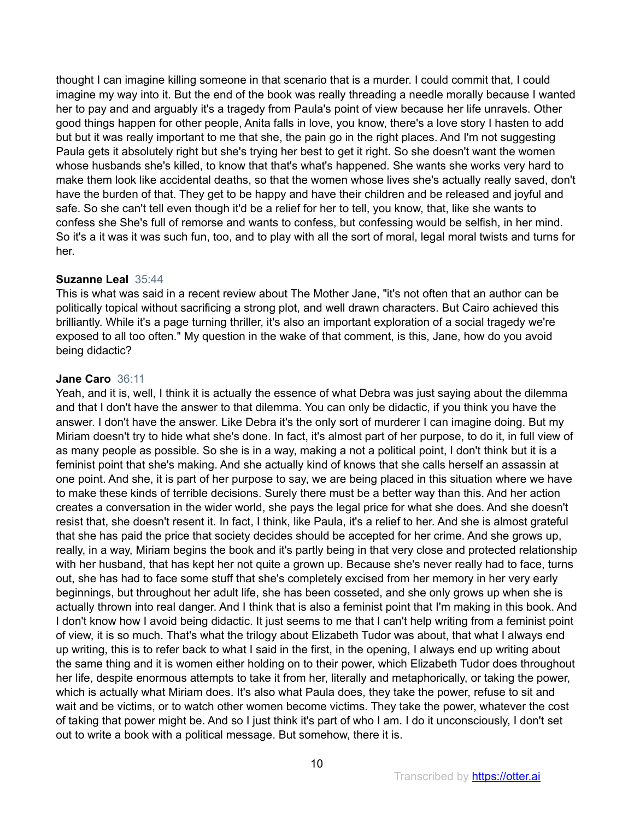thought I can imagine killing someone in that scenario that is a murder. I could commit that, I could imagine my way into it. But the end of the book was really threading a needle morally because I wanted her to pay and and arguably it's a tragedy from Paula's point of view because her life unravels. Other good things happen for other people, Anita falls in love, you know, there's a love story I hasten to add but but it was really important to me that she, the pain go in the right places. And I'm not suggesting Paula gets it absolutely right but she's trying her best to get it right. So she doesn't want the women whose husbands she's killed, to know that that's what's happened. She wants she works very hard to make them look like accidental deaths, so that the women whose lives she's actually really saved, don't have the burden of that. They get to be happy and have their children and be released and joyful and safe. So she can't tell even though it'd be a relief for her to tell, you know, that, like she wants to confess she She's full of remorse and wants to confess, but confessing would be selfish, in her mind. So it's a it was it was such fun, too, and to play with all the sort of moral, legal moral twists and turns for her.

## **Suzanne Leal** 35:44

This is what was said in a recent review about The Mother Jane, "it's not often that an author can be politically topical without sacrificing a strong plot, and well drawn characters. But Cairo achieved this brilliantly. While it's a page turning thriller, it's also an important exploration of a social tragedy we're exposed to all too often." My question in the wake of that comment, is this, Jane, how do you avoid being didactic?

## **Jane Caro** 36:11

Yeah, and it is, well, I think it is actually the essence of what Debra was just saying about the dilemma and that I don't have the answer to that dilemma. You can only be didactic, if you think you have the answer. I don't have the answer. Like Debra it's the only sort of murderer I can imagine doing. But my Miriam doesn't try to hide what she's done. In fact, it's almost part of her purpose, to do it, in full view of as many people as possible. So she is in a way, making a not a political point, I don't think but it is a feminist point that she's making. And she actually kind of knows that she calls herself an assassin at one point. And she, it is part of her purpose to say, we are being placed in this situation where we have to make these kinds of terrible decisions. Surely there must be a better way than this. And her action creates a conversation in the wider world, she pays the legal price for what she does. And she doesn't resist that, she doesn't resent it. In fact, I think, like Paula, it's a relief to her. And she is almost grateful that she has paid the price that society decides should be accepted for her crime. And she grows up, really, in a way, Miriam begins the book and it's partly being in that very close and protected relationship with her husband, that has kept her not quite a grown up. Because she's never really had to face, turns out, she has had to face some stuff that she's completely excised from her memory in her very early beginnings, but throughout her adult life, she has been cosseted, and she only grows up when she is actually thrown into real danger. And I think that is also a feminist point that I'm making in this book. And I don't know how I avoid being didactic. It just seems to me that I can't help writing from a feminist point of view, it is so much. That's what the trilogy about Elizabeth Tudor was about, that what I always end up writing, this is to refer back to what I said in the first, in the opening, I always end up writing about the same thing and it is women either holding on to their power, which Elizabeth Tudor does throughout her life, despite enormous attempts to take it from her, literally and metaphorically, or taking the power, which is actually what Miriam does. It's also what Paula does, they take the power, refuse to sit and wait and be victims, or to watch other women become victims. They take the power, whatever the cost of taking that power might be. And so I just think it's part of who I am. I do it unconsciously, I don't set out to write a book with a political message. But somehow, there it is.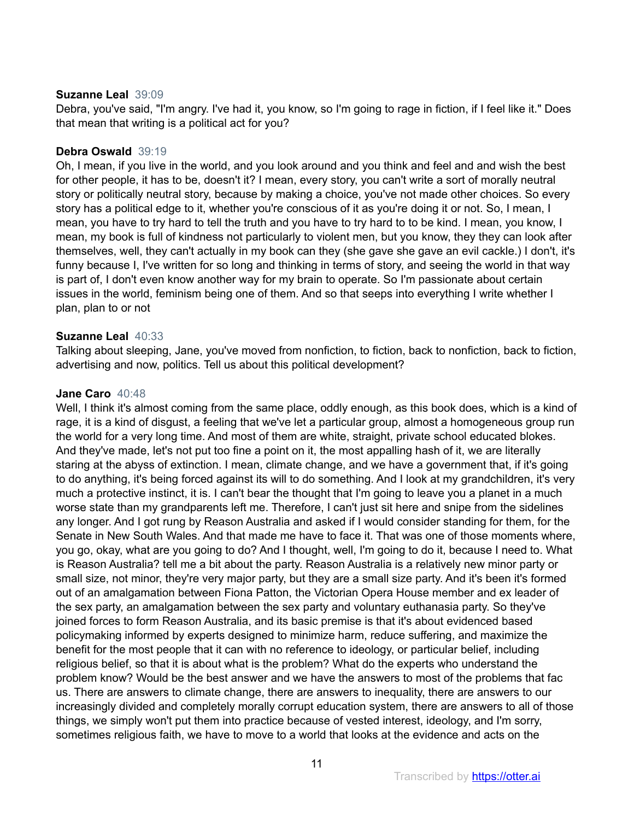## **Suzanne Leal** 39:09

Debra, you've said, "I'm angry. I've had it, you know, so I'm going to rage in fiction, if I feel like it." Does that mean that writing is a political act for you?

## **Debra Oswald** 39:19

Oh, I mean, if you live in the world, and you look around and you think and feel and and wish the best for other people, it has to be, doesn't it? I mean, every story, you can't write a sort of morally neutral story or politically neutral story, because by making a choice, you've not made other choices. So every story has a political edge to it, whether you're conscious of it as you're doing it or not. So, I mean, I mean, you have to try hard to tell the truth and you have to try hard to to be kind. I mean, you know, I mean, my book is full of kindness not particularly to violent men, but you know, they they can look after themselves, well, they can't actually in my book can they (she gave she gave an evil cackle.) I don't, it's funny because I, I've written for so long and thinking in terms of story, and seeing the world in that way is part of, I don't even know another way for my brain to operate. So I'm passionate about certain issues in the world, feminism being one of them. And so that seeps into everything I write whether I plan, plan to or not

## **Suzanne Leal** 40:33

Talking about sleeping, Jane, you've moved from nonfiction, to fiction, back to nonfiction, back to fiction, advertising and now, politics. Tell us about this political development?

## **Jane Caro** 40:48

Well, I think it's almost coming from the same place, oddly enough, as this book does, which is a kind of rage, it is a kind of disgust, a feeling that we've let a particular group, almost a homogeneous group run the world for a very long time. And most of them are white, straight, private school educated blokes. And they've made, let's not put too fine a point on it, the most appalling hash of it, we are literally staring at the abyss of extinction. I mean, climate change, and we have a government that, if it's going to do anything, it's being forced against its will to do something. And I look at my grandchildren, it's very much a protective instinct, it is. I can't bear the thought that I'm going to leave you a planet in a much worse state than my grandparents left me. Therefore, I can't just sit here and snipe from the sidelines any longer. And I got rung by Reason Australia and asked if I would consider standing for them, for the Senate in New South Wales. And that made me have to face it. That was one of those moments where, you go, okay, what are you going to do? And I thought, well, I'm going to do it, because I need to. What is Reason Australia? tell me a bit about the party. Reason Australia is a relatively new minor party or small size, not minor, they're very major party, but they are a small size party. And it's been it's formed out of an amalgamation between Fiona Patton, the Victorian Opera House member and ex leader of the sex party, an amalgamation between the sex party and voluntary euthanasia party. So they've joined forces to form Reason Australia, and its basic premise is that it's about evidenced based policymaking informed by experts designed to minimize harm, reduce suffering, and maximize the benefit for the most people that it can with no reference to ideology, or particular belief, including religious belief, so that it is about what is the problem? What do the experts who understand the problem know? Would be the best answer and we have the answers to most of the problems that fac us. There are answers to climate change, there are answers to inequality, there are answers to our increasingly divided and completely morally corrupt education system, there are answers to all of those things, we simply won't put them into practice because of vested interest, ideology, and I'm sorry, sometimes religious faith, we have to move to a world that looks at the evidence and acts on the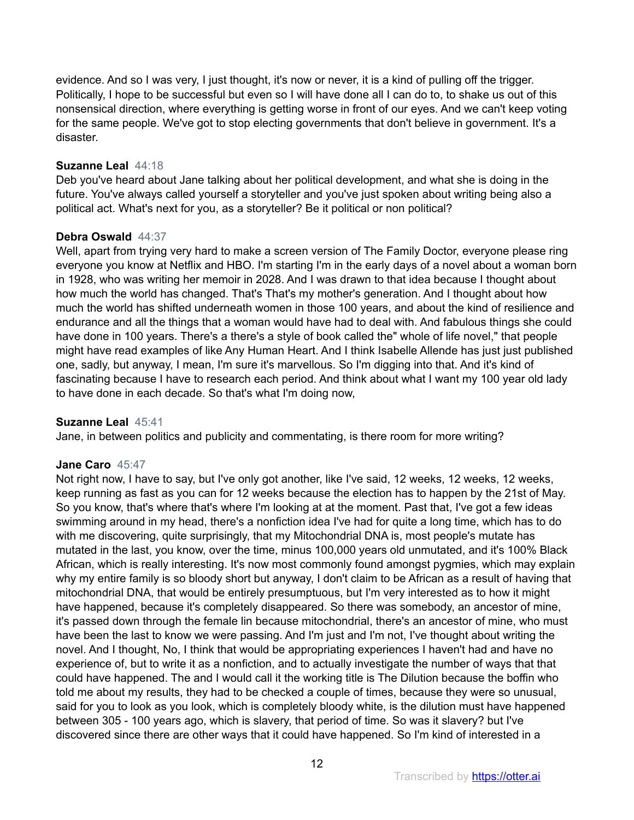evidence. And so I was very, I just thought, it's now or never, it is a kind of pulling off the trigger. Politically, I hope to be successful but even so I will have done all I can do to, to shake us out of this nonsensical direction, where everything is getting worse in front of our eyes. And we can't keep voting for the same people. We've got to stop electing governments that don't believe in government. It's a disaster.

## **Suzanne Leal** 44:18

Deb you've heard about Jane talking about her political development, and what she is doing in the future. You've always called yourself a storyteller and you've just spoken about writing being also a political act. What's next for you, as a storyteller? Be it political or non political?

# **Debra Oswald** 44:37

Well, apart from trying very hard to make a screen version of The Family Doctor, everyone please ring everyone you know at Netflix and HBO. I'm starting I'm in the early days of a novel about a woman born in 1928, who was writing her memoir in 2028. And I was drawn to that idea because I thought about how much the world has changed. That's That's my mother's generation. And I thought about how much the world has shifted underneath women in those 100 years, and about the kind of resilience and endurance and all the things that a woman would have had to deal with. And fabulous things she could have done in 100 years. There's a there's a style of book called the" whole of life novel," that people might have read examples of like Any Human Heart. And I think Isabelle Allende has just just published one, sadly, but anyway, I mean, I'm sure it's marvellous. So I'm digging into that. And it's kind of fascinating because I have to research each period. And think about what I want my 100 year old lady to have done in each decade. So that's what I'm doing now,

## **Suzanne Leal** 45:41

Jane, in between politics and publicity and commentating, is there room for more writing?

## **Jane Caro** 45:47

Not right now, I have to say, but I've only got another, like I've said, 12 weeks, 12 weeks, 12 weeks, keep running as fast as you can for 12 weeks because the election has to happen by the 21st of May. So you know, that's where that's where I'm looking at at the moment. Past that, I've got a few ideas swimming around in my head, there's a nonfiction idea I've had for quite a long time, which has to do with me discovering, quite surprisingly, that my Mitochondrial DNA is, most people's mutate has mutated in the last, you know, over the time, minus 100,000 years old unmutated, and it's 100% Black African, which is really interesting. It's now most commonly found amongst pygmies, which may explain why my entire family is so bloody short but anyway, I don't claim to be African as a result of having that mitochondrial DNA, that would be entirely presumptuous, but I'm very interested as to how it might have happened, because it's completely disappeared. So there was somebody, an ancestor of mine, it's passed down through the female lin because mitochondrial, there's an ancestor of mine, who must have been the last to know we were passing. And I'm just and I'm not, I've thought about writing the novel. And I thought, No, I think that would be appropriating experiences I haven't had and have no experience of, but to write it as a nonfiction, and to actually investigate the number of ways that that could have happened. The and I would call it the working title is The Dilution because the boffin who told me about my results, they had to be checked a couple of times, because they were so unusual, said for you to look as you look, which is completely bloody white, is the dilution must have happened between 305 - 100 years ago, which is slavery, that period of time. So was it slavery? but I've discovered since there are other ways that it could have happened. So I'm kind of interested in a